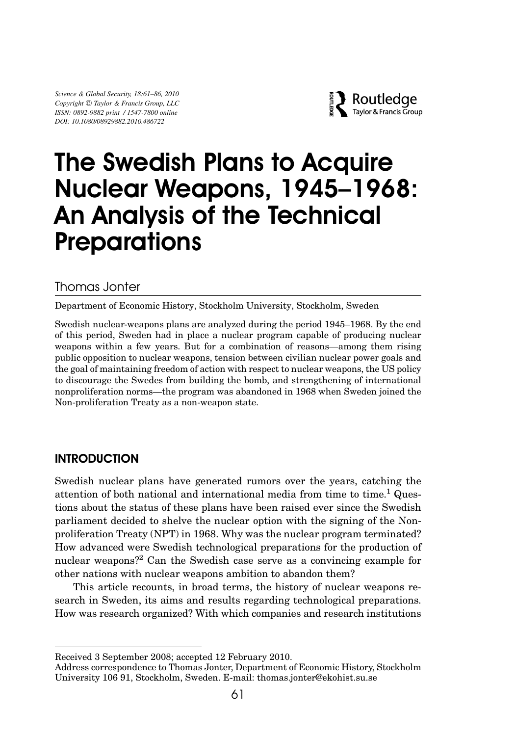*Science & Global Security, 18:61–86, 2010 Copyright* <sup>C</sup> *Taylor & Francis Group, LLC ISSN: 0892-9882 print / 1547-7800 online DOI: 10.1080/08929882.2010.486722*



# The Swedish Plans to Acquire Nuclear Weapons, 1945–1968: An Analysis of the Technical **Preparations**

# Thomas Jonter

Department of Economic History, Stockholm University, Stockholm, Sweden

Swedish nuclear-weapons plans are analyzed during the period 1945–1968. By the end of this period, Sweden had in place a nuclear program capable of producing nuclear weapons within a few years. But for a combination of reasons—among them rising public opposition to nuclear weapons, tension between civilian nuclear power goals and the goal of maintaining freedom of action with respect to nuclear weapons, the US policy to discourage the Swedes from building the bomb, and strengthening of international nonproliferation norms—the program was abandoned in 1968 when Sweden joined the Non-proliferation Treaty as a non-weapon state.

# INTRODUCTION

Swedish nuclear plans have generated rumors over the years, catching the attention of both national and international media from time to time.<sup>1</sup> Questions about the status of these plans have been raised ever since the Swedish parliament decided to shelve the nuclear option with the signing of the Nonproliferation Treaty (NPT) in 1968. Why was the nuclear program terminated? How advanced were Swedish technological preparations for the production of nuclear weapons?<sup>2</sup> Can the Swedish case serve as a convincing example for other nations with nuclear weapons ambition to abandon them?

This article recounts, in broad terms, the history of nuclear weapons research in Sweden, its aims and results regarding technological preparations. How was research organized? With which companies and research institutions

Received 3 September 2008; accepted 12 February 2010.

Address correspondence to Thomas Jonter, Department of Economic History, Stockholm University 106 91, Stockholm, Sweden. E-mail: thomas.jonter@ekohist.su.se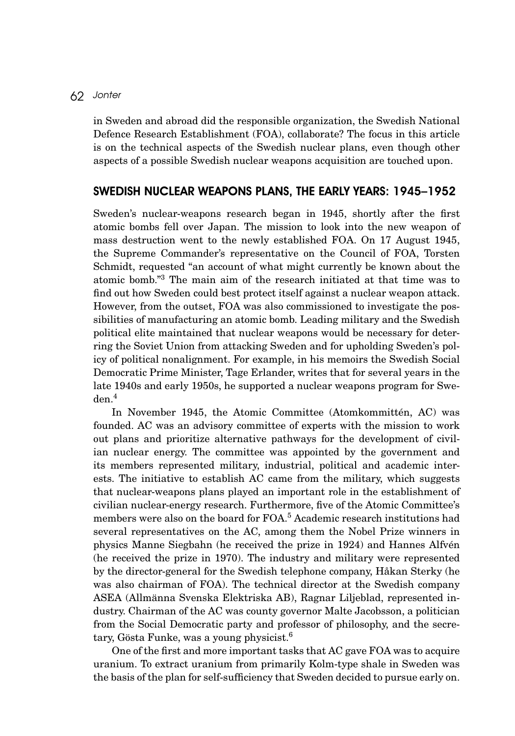in Sweden and abroad did the responsible organization, the Swedish National Defence Research Establishment (FOA), collaborate? The focus in this article is on the technical aspects of the Swedish nuclear plans, even though other aspects of a possible Swedish nuclear weapons acquisition are touched upon.

### SWEDISH NUCLEAR WEAPONS PLANS, THE EARLY YEARS: 1945–1952

Sweden's nuclear-weapons research began in 1945, shortly after the first atomic bombs fell over Japan. The mission to look into the new weapon of mass destruction went to the newly established FOA. On 17 August 1945, the Supreme Commander's representative on the Council of FOA, Torsten Schmidt, requested "an account of what might currently be known about the atomic bomb."3 The main aim of the research initiated at that time was to find out how Sweden could best protect itself against a nuclear weapon attack. However, from the outset, FOA was also commissioned to investigate the possibilities of manufacturing an atomic bomb. Leading military and the Swedish political elite maintained that nuclear weapons would be necessary for deterring the Soviet Union from attacking Sweden and for upholding Sweden's policy of political nonalignment. For example, in his memoirs the Swedish Social Democratic Prime Minister, Tage Erlander, writes that for several years in the late 1940s and early 1950s, he supported a nuclear weapons program for Sweden.<sup>4</sup>

In November 1945, the Atomic Committee (Atomkommittén, AC) was founded. AC was an advisory committee of experts with the mission to work out plans and prioritize alternative pathways for the development of civilian nuclear energy. The committee was appointed by the government and its members represented military, industrial, political and academic interests. The initiative to establish AC came from the military, which suggests that nuclear-weapons plans played an important role in the establishment of civilian nuclear-energy research. Furthermore, five of the Atomic Committee's members were also on the board for FOA.<sup>5</sup> Academic research institutions had several representatives on the AC, among them the Nobel Prize winners in physics Manne Siegbahn (he received the prize in 1924) and Hannes Alfven´ (he received the prize in 1970). The industry and military were represented by the director-general for the Swedish telephone company, Håkan Sterky (he was also chairman of FOA). The technical director at the Swedish company ASEA (Allmänna Svenska Elektriska AB), Ragnar Liljeblad, represented industry. Chairman of the AC was county governor Malte Jacobsson, a politician from the Social Democratic party and professor of philosophy, and the secretary, Gösta Funke, was a young physicist. $6$ 

One of the first and more important tasks that AC gave FOA was to acquire uranium. To extract uranium from primarily Kolm-type shale in Sweden was the basis of the plan for self-sufficiency that Sweden decided to pursue early on.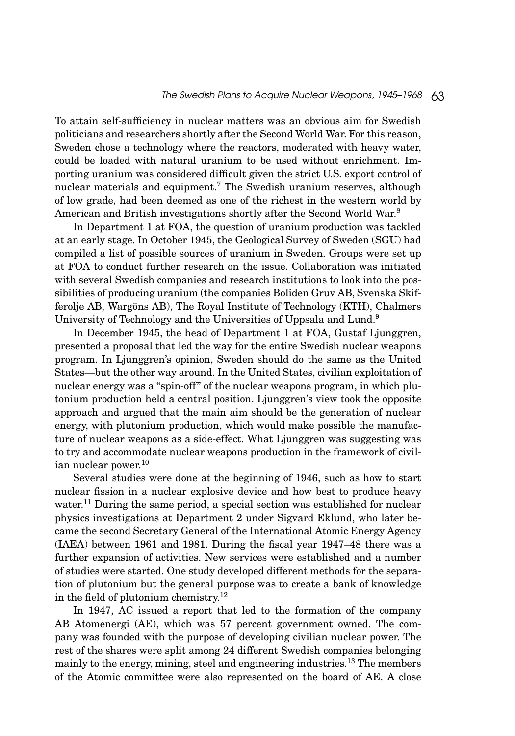To attain self-sufficiency in nuclear matters was an obvious aim for Swedish politicians and researchers shortly after the Second World War. For this reason, Sweden chose a technology where the reactors, moderated with heavy water, could be loaded with natural uranium to be used without enrichment. Importing uranium was considered difficult given the strict U.S. export control of nuclear materials and equipment.<sup>7</sup> The Swedish uranium reserves, although of low grade, had been deemed as one of the richest in the western world by American and British investigations shortly after the Second World War.<sup>8</sup>

In Department 1 at FOA, the question of uranium production was tackled at an early stage. In October 1945, the Geological Survey of Sweden (SGU) had compiled a list of possible sources of uranium in Sweden. Groups were set up at FOA to conduct further research on the issue. Collaboration was initiated with several Swedish companies and research institutions to look into the possibilities of producing uranium (the companies Boliden Gruv AB, Svenska Skifferolje AB, Wargöns AB), The Royal Institute of Technology (KTH), Chalmers University of Technology and the Universities of Uppsala and Lund.<sup>9</sup>

In December 1945, the head of Department 1 at FOA, Gustaf Ljunggren, presented a proposal that led the way for the entire Swedish nuclear weapons program. In Ljunggren's opinion, Sweden should do the same as the United States—but the other way around. In the United States, civilian exploitation of nuclear energy was a "spin-off" of the nuclear weapons program, in which plutonium production held a central position. Ljunggren's view took the opposite approach and argued that the main aim should be the generation of nuclear energy, with plutonium production, which would make possible the manufacture of nuclear weapons as a side-effect. What Ljunggren was suggesting was to try and accommodate nuclear weapons production in the framework of civilian nuclear power.<sup>10</sup>

Several studies were done at the beginning of 1946, such as how to start nuclear fission in a nuclear explosive device and how best to produce heavy water.<sup>11</sup> During the same period, a special section was established for nuclear physics investigations at Department 2 under Sigvard Eklund, who later became the second Secretary General of the International Atomic Energy Agency (IAEA) between 1961 and 1981. During the fiscal year 1947–48 there was a further expansion of activities. New services were established and a number of studies were started. One study developed different methods for the separation of plutonium but the general purpose was to create a bank of knowledge in the field of plutonium chemistry.12

In 1947, AC issued a report that led to the formation of the company AB Atomenergi (AE), which was 57 percent government owned. The company was founded with the purpose of developing civilian nuclear power. The rest of the shares were split among 24 different Swedish companies belonging mainly to the energy, mining, steel and engineering industries.<sup>13</sup> The members of the Atomic committee were also represented on the board of AE. A close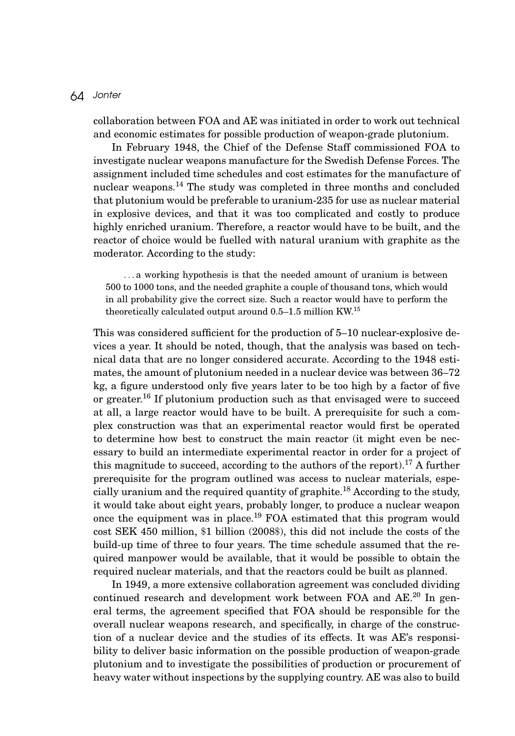collaboration between FOA and AE was initiated in order to work out technical and economic estimates for possible production of weapon-grade plutonium.

In February 1948, the Chief of the Defense Staff commissioned FOA to investigate nuclear weapons manufacture for the Swedish Defense Forces. The assignment included time schedules and cost estimates for the manufacture of nuclear weapons.<sup>14</sup> The study was completed in three months and concluded that plutonium would be preferable to uranium-235 for use as nuclear material in explosive devices, and that it was too complicated and costly to produce highly enriched uranium. Therefore, a reactor would have to be built, and the reactor of choice would be fuelled with natural uranium with graphite as the moderator. According to the study:

*...* a working hypothesis is that the needed amount of uranium is between 500 to 1000 tons, and the needed graphite a couple of thousand tons, which would in all probability give the correct size. Such a reactor would have to perform the theoretically calculated output around 0.5–1.5 million KW.15

This was considered sufficient for the production of 5–10 nuclear-explosive devices a year. It should be noted, though, that the analysis was based on technical data that are no longer considered accurate. According to the 1948 estimates, the amount of plutonium needed in a nuclear device was between 36–72 kg, a figure understood only five years later to be too high by a factor of five or greater.16 If plutonium production such as that envisaged were to succeed at all, a large reactor would have to be built. A prerequisite for such a complex construction was that an experimental reactor would first be operated to determine how best to construct the main reactor (it might even be necessary to build an intermediate experimental reactor in order for a project of this magnitude to succeed, according to the authors of the report).<sup>17</sup> A further prerequisite for the program outlined was access to nuclear materials, especially uranium and the required quantity of graphite.18 According to the study, it would take about eight years, probably longer, to produce a nuclear weapon once the equipment was in place.19 FOA estimated that this program would cost SEK 450 million, \$1 billion (2008\$), this did not include the costs of the build-up time of three to four years. The time schedule assumed that the required manpower would be available, that it would be possible to obtain the required nuclear materials, and that the reactors could be built as planned.

In 1949, a more extensive collaboration agreement was concluded dividing continued research and development work between FOA and AE.20 In general terms, the agreement specified that FOA should be responsible for the overall nuclear weapons research, and specifically, in charge of the construction of a nuclear device and the studies of its effects. It was AE's responsibility to deliver basic information on the possible production of weapon-grade plutonium and to investigate the possibilities of production or procurement of heavy water without inspections by the supplying country. AE was also to build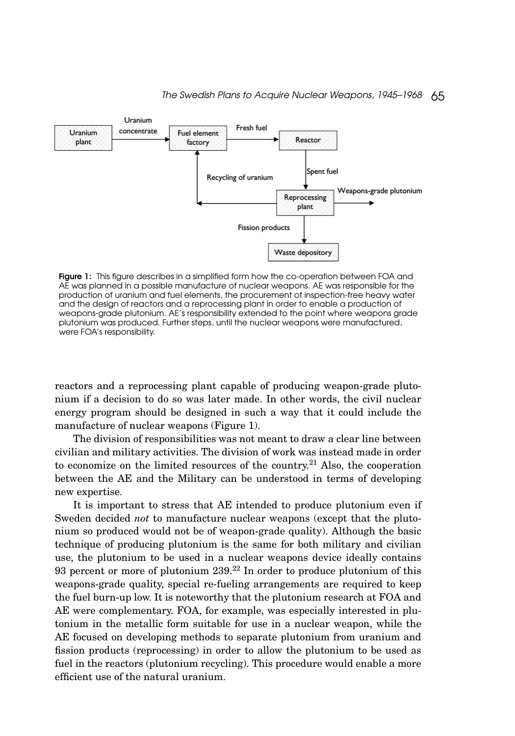

Figure 1: This figure describes in a simplified form how the co-operation between FOA and AE was planned in a possible manufacture of nuclear weapons. AE was responsible for the production of uranium and fuel elements, the procurement of inspection-free heavy water and the design of reactors and a reprocessing plant in order to enable a production of weapons-grade plutonium. AE's responsibility extended to the point where weapons grade plutonium was produced. Further steps, until the nuclear weapons were manufactured, were FOA's responsibility.

reactors and a reprocessing plant capable of producing weapon-grade plutonium if a decision to do so was later made. In other words, the civil nuclear energy program should be designed in such a way that it could include the manufacture of nuclear weapons (Figure 1).

The division of responsibilities was not meant to draw a clear line between civilian and military activities. The division of work was instead made in order to economize on the limited resources of the country.<sup>21</sup> Also, the cooperation between the AE and the Military can be understood in terms of developing new expertise.

It is important to stress that AE intended to produce plutonium even if Sweden decided *not* to manufacture nuclear weapons (except that the plutonium so produced would not be of weapon-grade quality). Although the basic technique of producing plutonium is the same for both military and civilian use, the plutonium to be used in a nuclear weapons device ideally contains 93 percent or more of plutonium  $239.^{22}$  In order to produce plutonium of this weapons-grade quality, special re-fueling arrangements are required to keep the fuel burn-up low. It is noteworthy that the plutonium research at FOA and AE were complementary. FOA, for example, was especially interested in plutonium in the metallic form suitable for use in a nuclear weapon, while the AE focused on developing methods to separate plutonium from uranium and fission products (reprocessing) in order to allow the plutonium to be used as fuel in the reactors (plutonium recycling). This procedure would enable a more efficient use of the natural uranium.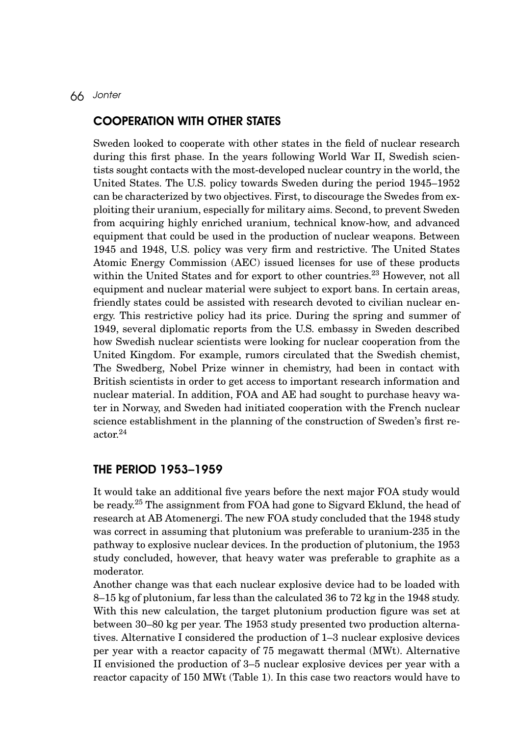# COOPERATION WITH OTHER STATES

Sweden looked to cooperate with other states in the field of nuclear research during this first phase. In the years following World War II, Swedish scientists sought contacts with the most-developed nuclear country in the world, the United States. The U.S. policy towards Sweden during the period 1945–1952 can be characterized by two objectives. First, to discourage the Swedes from exploiting their uranium, especially for military aims. Second, to prevent Sweden from acquiring highly enriched uranium, technical know-how, and advanced equipment that could be used in the production of nuclear weapons. Between 1945 and 1948, U.S. policy was very firm and restrictive. The United States Atomic Energy Commission (AEC) issued licenses for use of these products within the United States and for export to other countries.<sup>23</sup> However, not all equipment and nuclear material were subject to export bans. In certain areas, friendly states could be assisted with research devoted to civilian nuclear energy. This restrictive policy had its price. During the spring and summer of 1949, several diplomatic reports from the U.S. embassy in Sweden described how Swedish nuclear scientists were looking for nuclear cooperation from the United Kingdom. For example, rumors circulated that the Swedish chemist, The Swedberg, Nobel Prize winner in chemistry, had been in contact with British scientists in order to get access to important research information and nuclear material. In addition, FOA and AE had sought to purchase heavy water in Norway, and Sweden had initiated cooperation with the French nuclear science establishment in the planning of the construction of Sweden's first reactor.<sup>24</sup>

# THE PERIOD 1953–1959

It would take an additional five years before the next major FOA study would be ready.<sup>25</sup> The assignment from FOA had gone to Sigvard Eklund, the head of research at AB Atomenergi. The new FOA study concluded that the 1948 study was correct in assuming that plutonium was preferable to uranium-235 in the pathway to explosive nuclear devices. In the production of plutonium, the 1953 study concluded, however, that heavy water was preferable to graphite as a moderator.

Another change was that each nuclear explosive device had to be loaded with 8–15 kg of plutonium, far less than the calculated 36 to 72 kg in the 1948 study. With this new calculation, the target plutonium production figure was set at between 30–80 kg per year. The 1953 study presented two production alternatives. Alternative I considered the production of 1–3 nuclear explosive devices per year with a reactor capacity of 75 megawatt thermal (MWt). Alternative II envisioned the production of 3–5 nuclear explosive devices per year with a reactor capacity of 150 MWt (Table 1). In this case two reactors would have to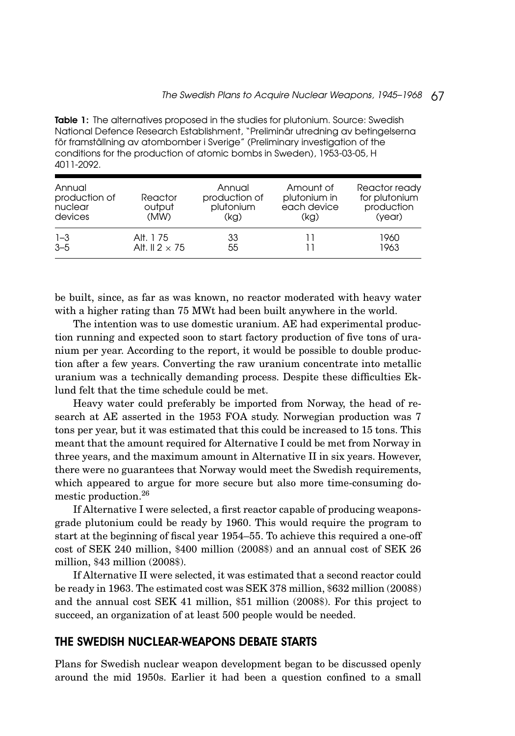| för framställning av atombomber i Sverige" (Preliminary investigation of the<br>conditions for the production of atomic bombs in Sweden), 1953-03-05, H<br>4011-2092. |                   |                                      |                                          |                                              |  |  |
|-----------------------------------------------------------------------------------------------------------------------------------------------------------------------|-------------------|--------------------------------------|------------------------------------------|----------------------------------------------|--|--|
| Annual<br>production of<br>nuclear                                                                                                                                    | Reactor<br>output | Annual<br>production of<br>plutonium | Amount of<br>plutonium in<br>each device | Reactor ready<br>for plutonium<br>production |  |  |

devices (MW) (kg) (kg) (year)

1–3 Alt. 1 75 33 11 1960 3–5 Alt. II 2  $\times$  75 55 11 1963

nuclear output plutonium each device<br>devices (MW) (kg) (kg)

| National Defence Research Establishment, "Preliminär utredning av betingelserna" |
|----------------------------------------------------------------------------------|
| för framställning av atombomber i Sverige" (Preliminary investigation of the     |
| conditions for the production of atomic bombs in Sweden), 1953-03-05, H          |
| 4011-2092.                                                                       |
|                                                                                  |

**Table 1:** The alternatives proposed in the studies for plutonium. Source: Swedish

|  |  |  | be built, since, as far as was known, no reactor moderated with heavy water |  |
|--|--|--|-----------------------------------------------------------------------------|--|
|  |  |  | with a higher rating than 75 MWt had been built anywhere in the world.      |  |

The intention was to use domestic uranium. AE had experimental production running and expected soon to start factory production of five tons of uranium per year. According to the report, it would be possible to double production after a few years. Converting the raw uranium concentrate into metallic uranium was a technically demanding process. Despite these difficulties Eklund felt that the time schedule could be met.

Heavy water could preferably be imported from Norway, the head of research at AE asserted in the 1953 FOA study. Norwegian production was 7 tons per year, but it was estimated that this could be increased to 15 tons. This meant that the amount required for Alternative I could be met from Norway in three years, and the maximum amount in Alternative II in six years. However, there were no guarantees that Norway would meet the Swedish requirements, which appeared to argue for more secure but also more time-consuming domestic production.26

If Alternative I were selected, a first reactor capable of producing weaponsgrade plutonium could be ready by 1960. This would require the program to start at the beginning of fiscal year 1954–55. To achieve this required a one-off cost of SEK 240 million, \$400 million (2008\$) and an annual cost of SEK 26 million, \$43 million (2008\$).

If Alternative II were selected, it was estimated that a second reactor could be ready in 1963. The estimated cost was SEK 378 million, \$632 million (2008\$) and the annual cost SEK 41 million, \$51 million (2008\$). For this project to succeed, an organization of at least 500 people would be needed.

# THE SWEDISH NUCLEAR-WEAPONS DEBATE STARTS

Plans for Swedish nuclear weapon development began to be discussed openly around the mid 1950s. Earlier it had been a question confined to a small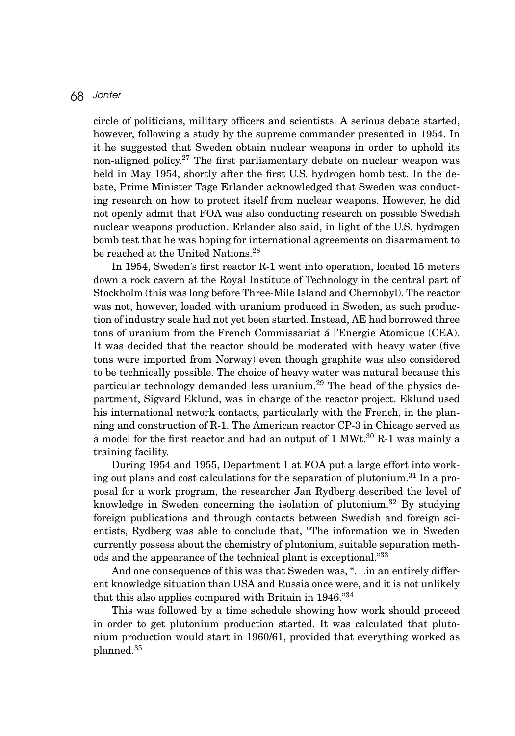circle of politicians, military officers and scientists. A serious debate started, however, following a study by the supreme commander presented in 1954. In it he suggested that Sweden obtain nuclear weapons in order to uphold its non-aligned policy.<sup>27</sup> The first parliamentary debate on nuclear weapon was held in May 1954, shortly after the first U.S. hydrogen bomb test. In the debate, Prime Minister Tage Erlander acknowledged that Sweden was conducting research on how to protect itself from nuclear weapons. However, he did not openly admit that FOA was also conducting research on possible Swedish nuclear weapons production. Erlander also said, in light of the U.S. hydrogen bomb test that he was hoping for international agreements on disarmament to be reached at the United Nations.<sup>28</sup>

In 1954, Sweden's first reactor R-1 went into operation, located 15 meters down a rock cavern at the Royal Institute of Technology in the central part of Stockholm (this was long before Three-Mile Island and Chernobyl). The reactor was not, however, loaded with uranium produced in Sweden, as such production of industry scale had not yet been started. Instead, AE had borrowed three tons of uranium from the French Commissariat a l'Energie Atomique (CEA). ´ It was decided that the reactor should be moderated with heavy water (five tons were imported from Norway) even though graphite was also considered to be technically possible. The choice of heavy water was natural because this particular technology demanded less uranium.29 The head of the physics department, Sigvard Eklund, was in charge of the reactor project. Eklund used his international network contacts, particularly with the French, in the planning and construction of R-1. The American reactor CP-3 in Chicago served as a model for the first reactor and had an output of 1 MWt.30 R-1 was mainly a training facility.

During 1954 and 1955, Department 1 at FOA put a large effort into working out plans and cost calculations for the separation of plutonium.31 In a proposal for a work program, the researcher Jan Rydberg described the level of knowledge in Sweden concerning the isolation of plutonium.<sup>32</sup> By studying foreign publications and through contacts between Swedish and foreign scientists, Rydberg was able to conclude that, "The information we in Sweden currently possess about the chemistry of plutonium, suitable separation methods and the appearance of the technical plant is exceptional."33

And one consequence of this was that Sweden was, "*...*in an entirely different knowledge situation than USA and Russia once were, and it is not unlikely that this also applies compared with Britain in 1946."34

This was followed by a time schedule showing how work should proceed in order to get plutonium production started. It was calculated that plutonium production would start in 1960/61, provided that everything worked as planned.35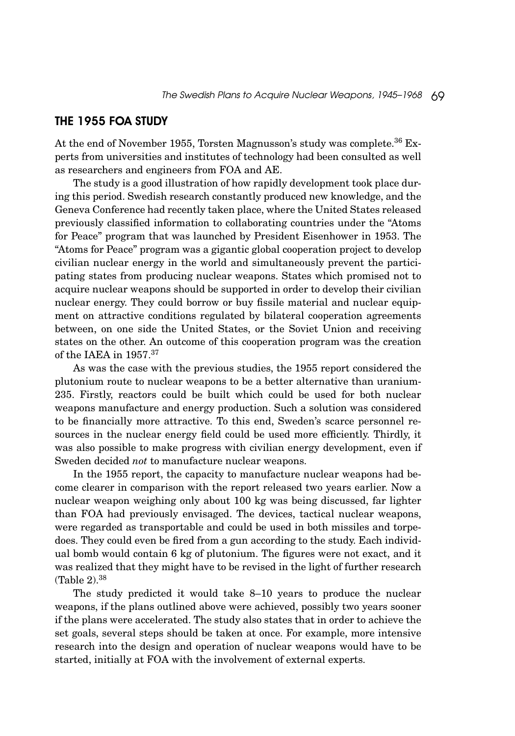# THE 1955 FOA STUDY

At the end of November 1955, Torsten Magnusson's study was complete.<sup>36</sup> Experts from universities and institutes of technology had been consulted as well as researchers and engineers from FOA and AE.

The study is a good illustration of how rapidly development took place during this period. Swedish research constantly produced new knowledge, and the Geneva Conference had recently taken place, where the United States released previously classified information to collaborating countries under the "Atoms for Peace" program that was launched by President Eisenhower in 1953. The "Atoms for Peace" program was a gigantic global cooperation project to develop civilian nuclear energy in the world and simultaneously prevent the participating states from producing nuclear weapons. States which promised not to acquire nuclear weapons should be supported in order to develop their civilian nuclear energy. They could borrow or buy fissile material and nuclear equipment on attractive conditions regulated by bilateral cooperation agreements between, on one side the United States, or the Soviet Union and receiving states on the other. An outcome of this cooperation program was the creation of the IAEA in 1957.<sup>37</sup>

As was the case with the previous studies, the 1955 report considered the plutonium route to nuclear weapons to be a better alternative than uranium-235. Firstly, reactors could be built which could be used for both nuclear weapons manufacture and energy production. Such a solution was considered to be financially more attractive. To this end, Sweden's scarce personnel resources in the nuclear energy field could be used more efficiently. Thirdly, it was also possible to make progress with civilian energy development, even if Sweden decided *not* to manufacture nuclear weapons.

In the 1955 report, the capacity to manufacture nuclear weapons had become clearer in comparison with the report released two years earlier. Now a nuclear weapon weighing only about 100 kg was being discussed, far lighter than FOA had previously envisaged. The devices, tactical nuclear weapons, were regarded as transportable and could be used in both missiles and torpedoes. They could even be fired from a gun according to the study. Each individual bomb would contain 6 kg of plutonium. The figures were not exact, and it was realized that they might have to be revised in the light of further research (Table 2). $38$ 

The study predicted it would take 8–10 years to produce the nuclear weapons, if the plans outlined above were achieved, possibly two years sooner if the plans were accelerated. The study also states that in order to achieve the set goals, several steps should be taken at once. For example, more intensive research into the design and operation of nuclear weapons would have to be started, initially at FOA with the involvement of external experts.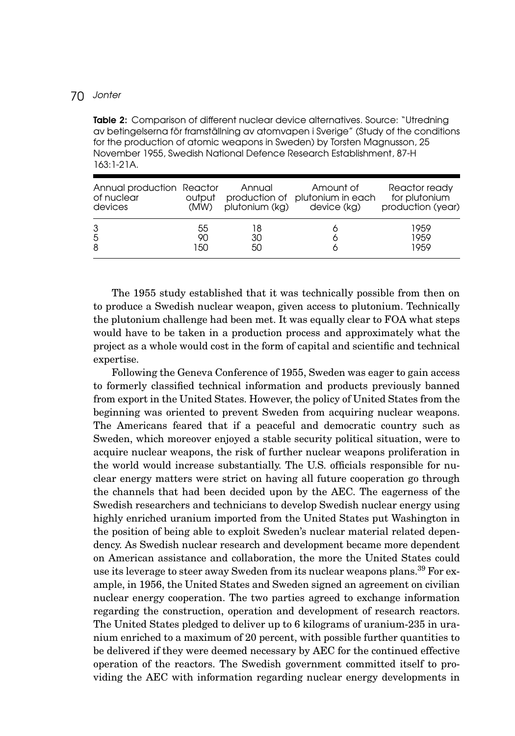Table 2: Comparison of different nuclear device alternatives. Source: "Utredning av betingelserna för framställning av atomvapen i Sverige" (Study of the conditions for the production of atomic weapons in Sweden) by Torsten Magnusson, 25 November 1955, Swedish National Defence Research Establishment, 87-H 163:1-21A.

| Annual production Reactor<br>of nuclear<br>devices | (MW) | Annual<br>plutonium (kg) | Amount of<br>output production of plutonium in each<br>device (kg) | Reactor ready<br>for plutonium<br>production (year) |
|----------------------------------------------------|------|--------------------------|--------------------------------------------------------------------|-----------------------------------------------------|
| 3                                                  | 55   | 18                       |                                                                    | 1959                                                |
| 5                                                  | 90   | 30                       |                                                                    | 1959                                                |
| 8                                                  | 150  | 50                       |                                                                    | 1959                                                |

The 1955 study established that it was technically possible from then on to produce a Swedish nuclear weapon, given access to plutonium. Technically the plutonium challenge had been met. It was equally clear to FOA what steps would have to be taken in a production process and approximately what the project as a whole would cost in the form of capital and scientific and technical expertise.

Following the Geneva Conference of 1955, Sweden was eager to gain access to formerly classified technical information and products previously banned from export in the United States. However, the policy of United States from the beginning was oriented to prevent Sweden from acquiring nuclear weapons. The Americans feared that if a peaceful and democratic country such as Sweden, which moreover enjoyed a stable security political situation, were to acquire nuclear weapons, the risk of further nuclear weapons proliferation in the world would increase substantially. The U.S. officials responsible for nuclear energy matters were strict on having all future cooperation go through the channels that had been decided upon by the AEC. The eagerness of the Swedish researchers and technicians to develop Swedish nuclear energy using highly enriched uranium imported from the United States put Washington in the position of being able to exploit Sweden's nuclear material related dependency. As Swedish nuclear research and development became more dependent on American assistance and collaboration, the more the United States could use its leverage to steer away Sweden from its nuclear weapons plans.<sup>39</sup> For example, in 1956, the United States and Sweden signed an agreement on civilian nuclear energy cooperation. The two parties agreed to exchange information regarding the construction, operation and development of research reactors. The United States pledged to deliver up to 6 kilograms of uranium-235 in uranium enriched to a maximum of 20 percent, with possible further quantities to be delivered if they were deemed necessary by AEC for the continued effective operation of the reactors. The Swedish government committed itself to providing the AEC with information regarding nuclear energy developments in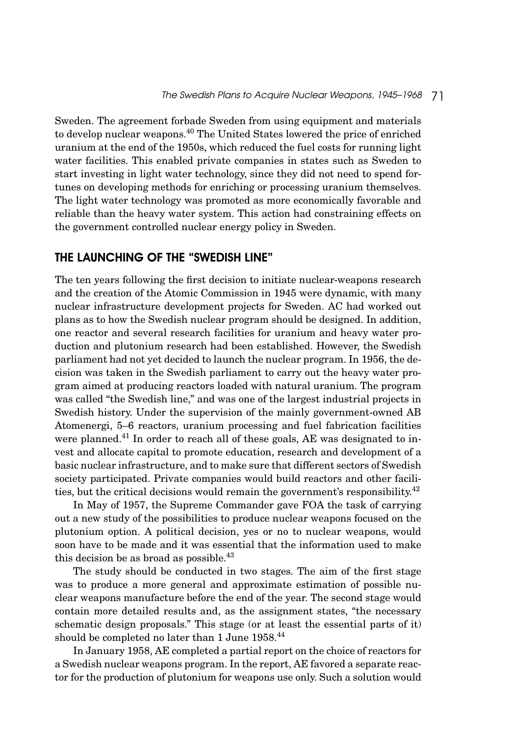Sweden. The agreement forbade Sweden from using equipment and materials to develop nuclear weapons.<sup>40</sup> The United States lowered the price of enriched uranium at the end of the 1950s, which reduced the fuel costs for running light water facilities. This enabled private companies in states such as Sweden to start investing in light water technology, since they did not need to spend fortunes on developing methods for enriching or processing uranium themselves. The light water technology was promoted as more economically favorable and reliable than the heavy water system. This action had constraining effects on the government controlled nuclear energy policy in Sweden.

## THE LAUNCHING OF THE "SWEDISH LINE"

The ten years following the first decision to initiate nuclear-weapons research and the creation of the Atomic Commission in 1945 were dynamic, with many nuclear infrastructure development projects for Sweden. AC had worked out plans as to how the Swedish nuclear program should be designed. In addition, one reactor and several research facilities for uranium and heavy water production and plutonium research had been established. However, the Swedish parliament had not yet decided to launch the nuclear program. In 1956, the decision was taken in the Swedish parliament to carry out the heavy water program aimed at producing reactors loaded with natural uranium. The program was called "the Swedish line," and was one of the largest industrial projects in Swedish history. Under the supervision of the mainly government-owned AB Atomenergi, 5–6 reactors, uranium processing and fuel fabrication facilities were planned.<sup>41</sup> In order to reach all of these goals, AE was designated to invest and allocate capital to promote education, research and development of a basic nuclear infrastructure, and to make sure that different sectors of Swedish society participated. Private companies would build reactors and other facilities, but the critical decisions would remain the government's responsibility.<sup>42</sup>

In May of 1957, the Supreme Commander gave FOA the task of carrying out a new study of the possibilities to produce nuclear weapons focused on the plutonium option. A political decision, yes or no to nuclear weapons, would soon have to be made and it was essential that the information used to make this decision be as broad as possible.<sup>43</sup>

The study should be conducted in two stages. The aim of the first stage was to produce a more general and approximate estimation of possible nuclear weapons manufacture before the end of the year. The second stage would contain more detailed results and, as the assignment states, "the necessary schematic design proposals." This stage (or at least the essential parts of it) should be completed no later than 1 June 1958.<sup>44</sup>

In January 1958, AE completed a partial report on the choice of reactors for a Swedish nuclear weapons program. In the report, AE favored a separate reactor for the production of plutonium for weapons use only. Such a solution would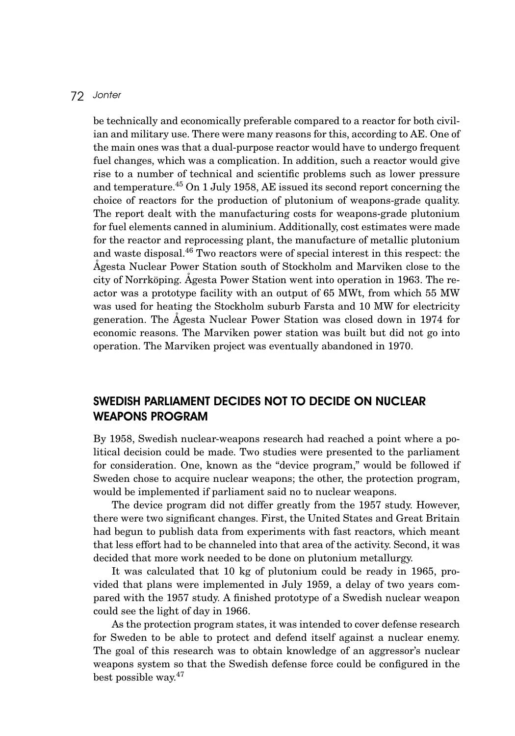be technically and economically preferable compared to a reactor for both civilian and military use. There were many reasons for this, according to AE. One of the main ones was that a dual-purpose reactor would have to undergo frequent fuel changes, which was a complication. In addition, such a reactor would give rise to a number of technical and scientific problems such as lower pressure and temperature.45 On 1 July 1958, AE issued its second report concerning the choice of reactors for the production of plutonium of weapons-grade quality. The report dealt with the manufacturing costs for weapons-grade plutonium for fuel elements canned in aluminium. Additionally, cost estimates were made for the reactor and reprocessing plant, the manufacture of metallic plutonium and waste disposal.46 Two reactors were of special interest in this respect: the Agesta Nuclear Power Station south of Stockholm and Marviken close to the city of Norrköping. Agesta Power Station went into operation in 1963. The reactor was a prototype facility with an output of 65 MWt, from which 55 MW was used for heating the Stockholm suburb Farsta and 10 MW for electricity generation. The Agesta Nuclear Power Station was closed down in 1974 for economic reasons. The Marviken power station was built but did not go into operation. The Marviken project was eventually abandoned in 1970.

# SWEDISH PARLIAMENT DECIDES NOT TO DECIDE ON NUCLEAR WEAPONS PROGRAM

By 1958, Swedish nuclear-weapons research had reached a point where a political decision could be made. Two studies were presented to the parliament for consideration. One, known as the "device program," would be followed if Sweden chose to acquire nuclear weapons; the other, the protection program, would be implemented if parliament said no to nuclear weapons.

The device program did not differ greatly from the 1957 study. However, there were two significant changes. First, the United States and Great Britain had begun to publish data from experiments with fast reactors, which meant that less effort had to be channeled into that area of the activity. Second, it was decided that more work needed to be done on plutonium metallurgy.

It was calculated that 10 kg of plutonium could be ready in 1965, provided that plans were implemented in July 1959, a delay of two years compared with the 1957 study. A finished prototype of a Swedish nuclear weapon could see the light of day in 1966.

As the protection program states, it was intended to cover defense research for Sweden to be able to protect and defend itself against a nuclear enemy. The goal of this research was to obtain knowledge of an aggressor's nuclear weapons system so that the Swedish defense force could be configured in the best possible way.47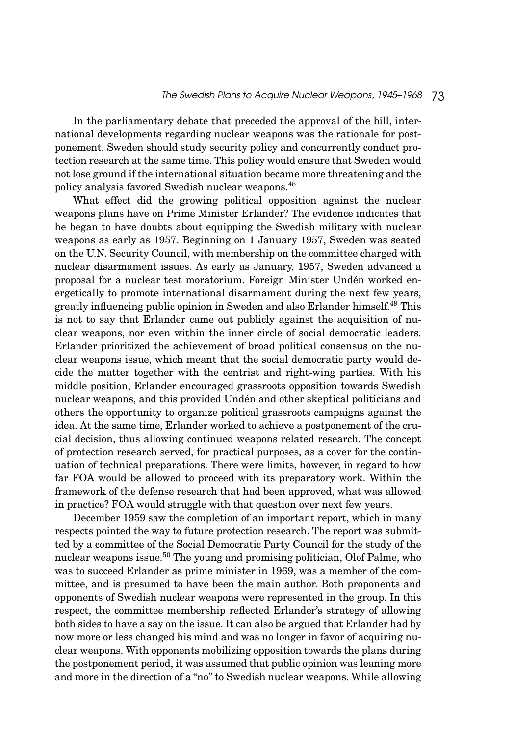In the parliamentary debate that preceded the approval of the bill, international developments regarding nuclear weapons was the rationale for postponement. Sweden should study security policy and concurrently conduct protection research at the same time. This policy would ensure that Sweden would not lose ground if the international situation became more threatening and the policy analysis favored Swedish nuclear weapons.<sup>48</sup>

What effect did the growing political opposition against the nuclear weapons plans have on Prime Minister Erlander? The evidence indicates that he began to have doubts about equipping the Swedish military with nuclear weapons as early as 1957. Beginning on 1 January 1957, Sweden was seated on the U.N. Security Council, with membership on the committee charged with nuclear disarmament issues. As early as January, 1957, Sweden advanced a proposal for a nuclear test moratorium. Foreign Minister Unden worked en- ´ ergetically to promote international disarmament during the next few years, greatly influencing public opinion in Sweden and also Erlander himself.<sup>49</sup> This is not to say that Erlander came out publicly against the acquisition of nuclear weapons, nor even within the inner circle of social democratic leaders. Erlander prioritized the achievement of broad political consensus on the nuclear weapons issue, which meant that the social democratic party would decide the matter together with the centrist and right-wing parties. With his middle position, Erlander encouraged grassroots opposition towards Swedish nuclear weapons, and this provided Unden and other skeptical politicians and ´ others the opportunity to organize political grassroots campaigns against the idea. At the same time, Erlander worked to achieve a postponement of the crucial decision, thus allowing continued weapons related research. The concept of protection research served, for practical purposes, as a cover for the continuation of technical preparations. There were limits, however, in regard to how far FOA would be allowed to proceed with its preparatory work. Within the framework of the defense research that had been approved, what was allowed in practice? FOA would struggle with that question over next few years.

December 1959 saw the completion of an important report, which in many respects pointed the way to future protection research. The report was submitted by a committee of the Social Democratic Party Council for the study of the nuclear weapons issue.<sup>50</sup> The young and promising politician, Olof Palme, who was to succeed Erlander as prime minister in 1969, was a member of the committee, and is presumed to have been the main author. Both proponents and opponents of Swedish nuclear weapons were represented in the group. In this respect, the committee membership reflected Erlander's strategy of allowing both sides to have a say on the issue. It can also be argued that Erlander had by now more or less changed his mind and was no longer in favor of acquiring nuclear weapons. With opponents mobilizing opposition towards the plans during the postponement period, it was assumed that public opinion was leaning more and more in the direction of a "no" to Swedish nuclear weapons. While allowing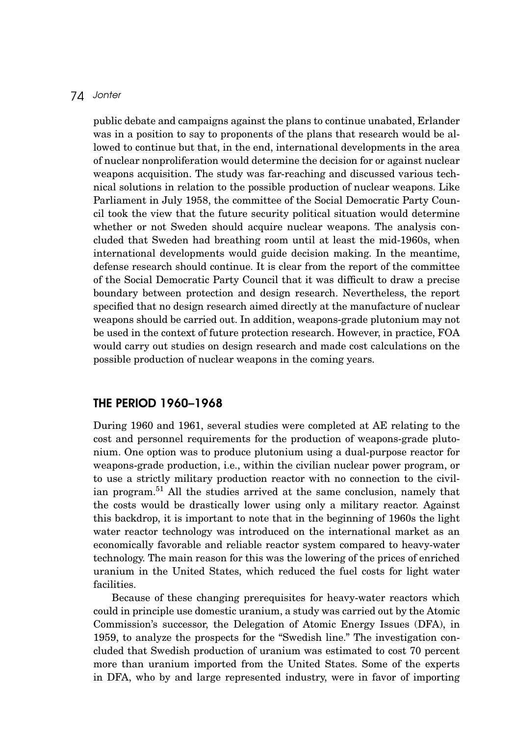public debate and campaigns against the plans to continue unabated, Erlander was in a position to say to proponents of the plans that research would be allowed to continue but that, in the end, international developments in the area of nuclear nonproliferation would determine the decision for or against nuclear weapons acquisition. The study was far-reaching and discussed various technical solutions in relation to the possible production of nuclear weapons. Like Parliament in July 1958, the committee of the Social Democratic Party Council took the view that the future security political situation would determine whether or not Sweden should acquire nuclear weapons. The analysis concluded that Sweden had breathing room until at least the mid-1960s, when international developments would guide decision making. In the meantime, defense research should continue. It is clear from the report of the committee of the Social Democratic Party Council that it was difficult to draw a precise boundary between protection and design research. Nevertheless, the report specified that no design research aimed directly at the manufacture of nuclear weapons should be carried out. In addition, weapons-grade plutonium may not be used in the context of future protection research. However, in practice, FOA would carry out studies on design research and made cost calculations on the possible production of nuclear weapons in the coming years.

# THE PERIOD 1960–1968

During 1960 and 1961, several studies were completed at AE relating to the cost and personnel requirements for the production of weapons-grade plutonium. One option was to produce plutonium using a dual-purpose reactor for weapons-grade production, i.e., within the civilian nuclear power program, or to use a strictly military production reactor with no connection to the civilian program.<sup>51</sup> All the studies arrived at the same conclusion, namely that the costs would be drastically lower using only a military reactor. Against this backdrop, it is important to note that in the beginning of 1960s the light water reactor technology was introduced on the international market as an economically favorable and reliable reactor system compared to heavy-water technology. The main reason for this was the lowering of the prices of enriched uranium in the United States, which reduced the fuel costs for light water facilities.

Because of these changing prerequisites for heavy-water reactors which could in principle use domestic uranium, a study was carried out by the Atomic Commission's successor, the Delegation of Atomic Energy Issues (DFA), in 1959, to analyze the prospects for the "Swedish line." The investigation concluded that Swedish production of uranium was estimated to cost 70 percent more than uranium imported from the United States. Some of the experts in DFA, who by and large represented industry, were in favor of importing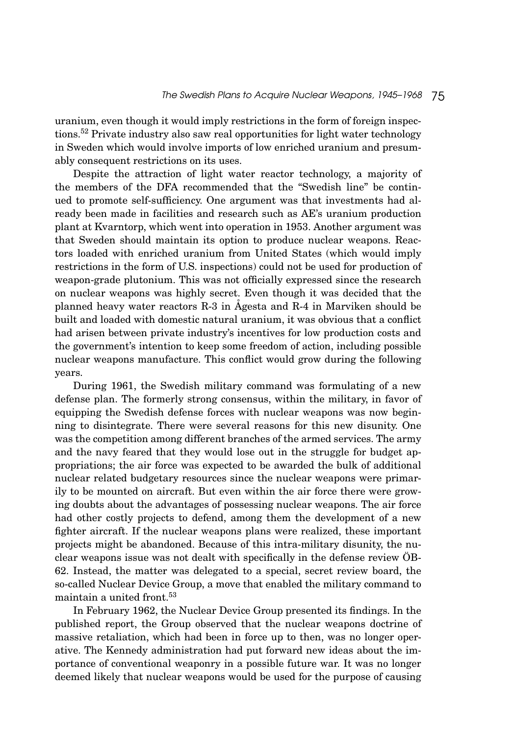uranium, even though it would imply restrictions in the form of foreign inspections.<sup>52</sup> Private industry also saw real opportunities for light water technology in Sweden which would involve imports of low enriched uranium and presumably consequent restrictions on its uses.

Despite the attraction of light water reactor technology, a majority of the members of the DFA recommended that the "Swedish line" be continued to promote self-sufficiency. One argument was that investments had already been made in facilities and research such as AE's uranium production plant at Kvarntorp, which went into operation in 1953. Another argument was that Sweden should maintain its option to produce nuclear weapons. Reactors loaded with enriched uranium from United States (which would imply restrictions in the form of U.S. inspections) could not be used for production of weapon-grade plutonium. This was not officially expressed since the research on nuclear weapons was highly secret. Even though it was decided that the planned heavy water reactors  $R-3$  in Agesta and  $R-4$  in Marviken should be built and loaded with domestic natural uranium, it was obvious that a conflict had arisen between private industry's incentives for low production costs and the government's intention to keep some freedom of action, including possible nuclear weapons manufacture. This conflict would grow during the following years.

During 1961, the Swedish military command was formulating of a new defense plan. The formerly strong consensus, within the military, in favor of equipping the Swedish defense forces with nuclear weapons was now beginning to disintegrate. There were several reasons for this new disunity. One was the competition among different branches of the armed services. The army and the navy feared that they would lose out in the struggle for budget appropriations; the air force was expected to be awarded the bulk of additional nuclear related budgetary resources since the nuclear weapons were primarily to be mounted on aircraft. But even within the air force there were growing doubts about the advantages of possessing nuclear weapons. The air force had other costly projects to defend, among them the development of a new fighter aircraft. If the nuclear weapons plans were realized, these important projects might be abandoned. Because of this intra-military disunity, the nuclear weapons issue was not dealt with specifically in the defense review OB-62. Instead, the matter was delegated to a special, secret review board, the so-called Nuclear Device Group, a move that enabled the military command to maintain a united front.<sup>53</sup>

In February 1962, the Nuclear Device Group presented its findings. In the published report, the Group observed that the nuclear weapons doctrine of massive retaliation, which had been in force up to then, was no longer operative. The Kennedy administration had put forward new ideas about the importance of conventional weaponry in a possible future war. It was no longer deemed likely that nuclear weapons would be used for the purpose of causing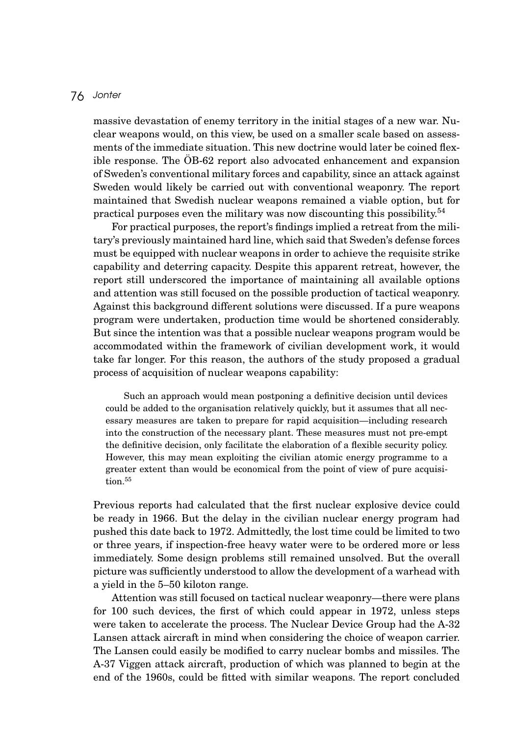massive devastation of enemy territory in the initial stages of a new war. Nuclear weapons would, on this view, be used on a smaller scale based on assessments of the immediate situation. This new doctrine would later be coined flexible response. The OB-62 report also advocated enhancement and expansion of Sweden's conventional military forces and capability, since an attack against Sweden would likely be carried out with conventional weaponry. The report maintained that Swedish nuclear weapons remained a viable option, but for practical purposes even the military was now discounting this possibility.54

For practical purposes, the report's findings implied a retreat from the military's previously maintained hard line, which said that Sweden's defense forces must be equipped with nuclear weapons in order to achieve the requisite strike capability and deterring capacity. Despite this apparent retreat, however, the report still underscored the importance of maintaining all available options and attention was still focused on the possible production of tactical weaponry. Against this background different solutions were discussed. If a pure weapons program were undertaken, production time would be shortened considerably. But since the intention was that a possible nuclear weapons program would be accommodated within the framework of civilian development work, it would take far longer. For this reason, the authors of the study proposed a gradual process of acquisition of nuclear weapons capability:

Such an approach would mean postponing a definitive decision until devices could be added to the organisation relatively quickly, but it assumes that all necessary measures are taken to prepare for rapid acquisition—including research into the construction of the necessary plant. These measures must not pre-empt the definitive decision, only facilitate the elaboration of a flexible security policy. However, this may mean exploiting the civilian atomic energy programme to a greater extent than would be economical from the point of view of pure acquisition.<sup>55</sup>

Previous reports had calculated that the first nuclear explosive device could be ready in 1966. But the delay in the civilian nuclear energy program had pushed this date back to 1972. Admittedly, the lost time could be limited to two or three years, if inspection-free heavy water were to be ordered more or less immediately. Some design problems still remained unsolved. But the overall picture was sufficiently understood to allow the development of a warhead with a yield in the 5–50 kiloton range.

Attention was still focused on tactical nuclear weaponry—there were plans for 100 such devices, the first of which could appear in 1972, unless steps were taken to accelerate the process. The Nuclear Device Group had the A-32 Lansen attack aircraft in mind when considering the choice of weapon carrier. The Lansen could easily be modified to carry nuclear bombs and missiles. The A-37 Viggen attack aircraft, production of which was planned to begin at the end of the 1960s, could be fitted with similar weapons. The report concluded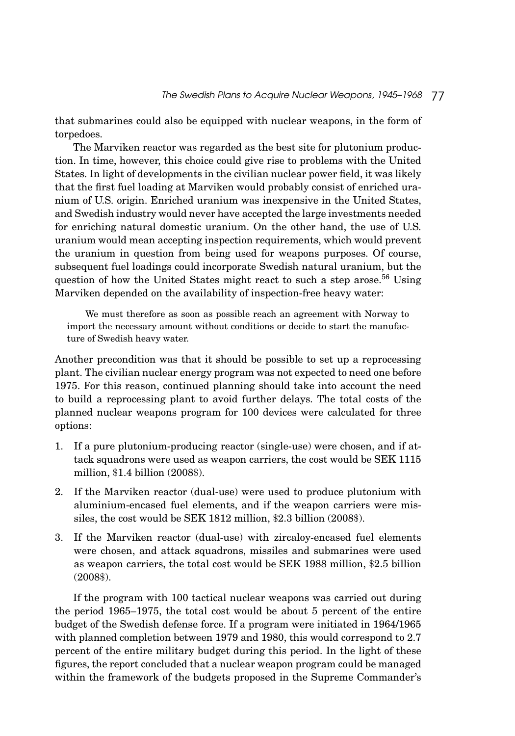that submarines could also be equipped with nuclear weapons, in the form of torpedoes.

The Marviken reactor was regarded as the best site for plutonium production. In time, however, this choice could give rise to problems with the United States. In light of developments in the civilian nuclear power field, it was likely that the first fuel loading at Marviken would probably consist of enriched uranium of U.S. origin. Enriched uranium was inexpensive in the United States, and Swedish industry would never have accepted the large investments needed for enriching natural domestic uranium. On the other hand, the use of U.S. uranium would mean accepting inspection requirements, which would prevent the uranium in question from being used for weapons purposes. Of course, subsequent fuel loadings could incorporate Swedish natural uranium, but the question of how the United States might react to such a step arose.<sup>56</sup> Using Marviken depended on the availability of inspection-free heavy water:

We must therefore as soon as possible reach an agreement with Norway to import the necessary amount without conditions or decide to start the manufacture of Swedish heavy water.

Another precondition was that it should be possible to set up a reprocessing plant. The civilian nuclear energy program was not expected to need one before 1975. For this reason, continued planning should take into account the need to build a reprocessing plant to avoid further delays. The total costs of the planned nuclear weapons program for 100 devices were calculated for three options:

- 1. If a pure plutonium-producing reactor (single-use) were chosen, and if attack squadrons were used as weapon carriers, the cost would be SEK 1115 million, \$1.4 billion (2008\$).
- 2. If the Marviken reactor (dual-use) were used to produce plutonium with aluminium-encased fuel elements, and if the weapon carriers were missiles, the cost would be SEK 1812 million, \$2.3 billion (2008\$).
- 3. If the Marviken reactor (dual-use) with zircaloy-encased fuel elements were chosen, and attack squadrons, missiles and submarines were used as weapon carriers, the total cost would be SEK 1988 million, \$2.5 billion (2008\$).

If the program with 100 tactical nuclear weapons was carried out during the period 1965–1975, the total cost would be about 5 percent of the entire budget of the Swedish defense force. If a program were initiated in 1964/1965 with planned completion between 1979 and 1980, this would correspond to 2.7 percent of the entire military budget during this period. In the light of these figures, the report concluded that a nuclear weapon program could be managed within the framework of the budgets proposed in the Supreme Commander's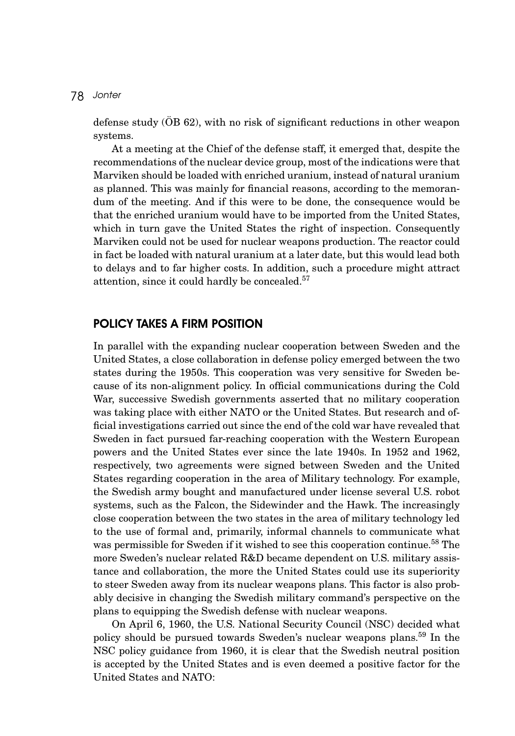defense study  $(OB 62)$ , with no risk of significant reductions in other weapon systems.

At a meeting at the Chief of the defense staff, it emerged that, despite the recommendations of the nuclear device group, most of the indications were that Marviken should be loaded with enriched uranium, instead of natural uranium as planned. This was mainly for financial reasons, according to the memorandum of the meeting. And if this were to be done, the consequence would be that the enriched uranium would have to be imported from the United States, which in turn gave the United States the right of inspection. Consequently Marviken could not be used for nuclear weapons production. The reactor could in fact be loaded with natural uranium at a later date, but this would lead both to delays and to far higher costs. In addition, such a procedure might attract attention, since it could hardly be concealed.57

# POLICY TAKES A FIRM POSITION

In parallel with the expanding nuclear cooperation between Sweden and the United States, a close collaboration in defense policy emerged between the two states during the 1950s. This cooperation was very sensitive for Sweden because of its non-alignment policy. In official communications during the Cold War, successive Swedish governments asserted that no military cooperation was taking place with either NATO or the United States. But research and official investigations carried out since the end of the cold war have revealed that Sweden in fact pursued far-reaching cooperation with the Western European powers and the United States ever since the late 1940s. In 1952 and 1962, respectively, two agreements were signed between Sweden and the United States regarding cooperation in the area of Military technology. For example, the Swedish army bought and manufactured under license several U.S. robot systems, such as the Falcon, the Sidewinder and the Hawk. The increasingly close cooperation between the two states in the area of military technology led to the use of formal and, primarily, informal channels to communicate what was permissible for Sweden if it wished to see this cooperation continue.<sup>58</sup> The more Sweden's nuclear related R&D became dependent on U.S. military assistance and collaboration, the more the United States could use its superiority to steer Sweden away from its nuclear weapons plans. This factor is also probably decisive in changing the Swedish military command's perspective on the plans to equipping the Swedish defense with nuclear weapons.

On April 6, 1960, the U.S. National Security Council (NSC) decided what policy should be pursued towards Sweden's nuclear weapons plans.<sup>59</sup> In the NSC policy guidance from 1960, it is clear that the Swedish neutral position is accepted by the United States and is even deemed a positive factor for the United States and NATO: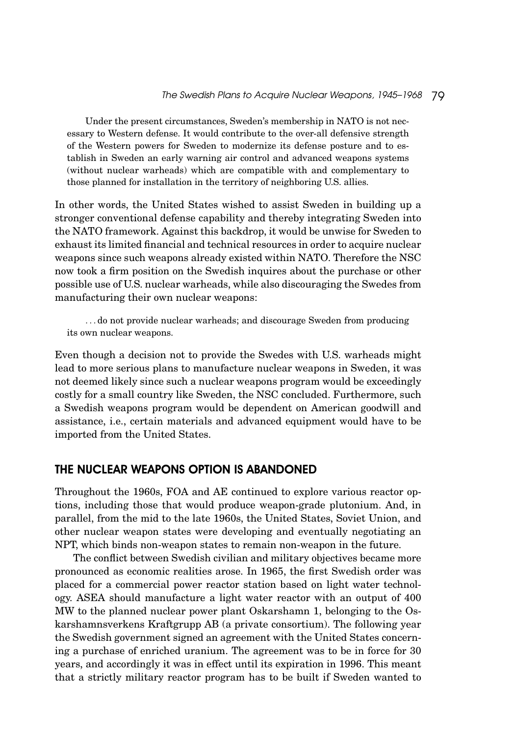Under the present circumstances, Sweden's membership in NATO is not necessary to Western defense. It would contribute to the over-all defensive strength of the Western powers for Sweden to modernize its defense posture and to establish in Sweden an early warning air control and advanced weapons systems (without nuclear warheads) which are compatible with and complementary to those planned for installation in the territory of neighboring U.S. allies.

In other words, the United States wished to assist Sweden in building up a stronger conventional defense capability and thereby integrating Sweden into the NATO framework. Against this backdrop, it would be unwise for Sweden to exhaust its limited financial and technical resources in order to acquire nuclear weapons since such weapons already existed within NATO. Therefore the NSC now took a firm position on the Swedish inquires about the purchase or other possible use of U.S. nuclear warheads, while also discouraging the Swedes from manufacturing their own nuclear weapons:

*...* do not provide nuclear warheads; and discourage Sweden from producing its own nuclear weapons.

Even though a decision not to provide the Swedes with U.S. warheads might lead to more serious plans to manufacture nuclear weapons in Sweden, it was not deemed likely since such a nuclear weapons program would be exceedingly costly for a small country like Sweden, the NSC concluded. Furthermore, such a Swedish weapons program would be dependent on American goodwill and assistance, i.e., certain materials and advanced equipment would have to be imported from the United States.

# THE NUCLEAR WEAPONS OPTION IS ABANDONED

Throughout the 1960s, FOA and AE continued to explore various reactor options, including those that would produce weapon-grade plutonium. And, in parallel, from the mid to the late 1960s, the United States, Soviet Union, and other nuclear weapon states were developing and eventually negotiating an NPT, which binds non-weapon states to remain non-weapon in the future.

The conflict between Swedish civilian and military objectives became more pronounced as economic realities arose. In 1965, the first Swedish order was placed for a commercial power reactor station based on light water technology. ASEA should manufacture a light water reactor with an output of 400 MW to the planned nuclear power plant Oskarshamn 1, belonging to the Oskarshamnsverkens Kraftgrupp AB (a private consortium). The following year the Swedish government signed an agreement with the United States concerning a purchase of enriched uranium. The agreement was to be in force for 30 years, and accordingly it was in effect until its expiration in 1996. This meant that a strictly military reactor program has to be built if Sweden wanted to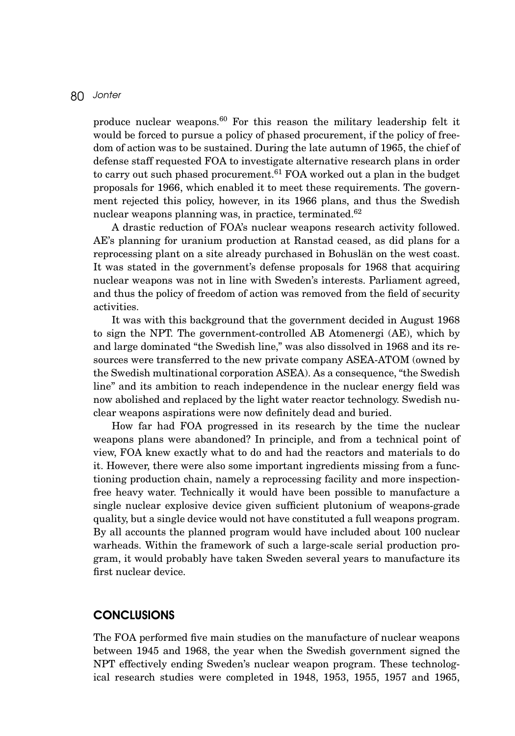produce nuclear weapons.60 For this reason the military leadership felt it would be forced to pursue a policy of phased procurement, if the policy of freedom of action was to be sustained. During the late autumn of 1965, the chief of defense staff requested FOA to investigate alternative research plans in order to carry out such phased procurement.<sup>61</sup> FOA worked out a plan in the budget proposals for 1966, which enabled it to meet these requirements. The government rejected this policy, however, in its 1966 plans, and thus the Swedish nuclear weapons planning was, in practice, terminated.<sup>62</sup>

A drastic reduction of FOA's nuclear weapons research activity followed. AE's planning for uranium production at Ranstad ceased, as did plans for a reprocessing plant on a site already purchased in Bohuslän on the west coast. It was stated in the government's defense proposals for 1968 that acquiring nuclear weapons was not in line with Sweden's interests. Parliament agreed, and thus the policy of freedom of action was removed from the field of security activities.

It was with this background that the government decided in August 1968 to sign the NPT. The government-controlled AB Atomenergi (AE), which by and large dominated "the Swedish line," was also dissolved in 1968 and its resources were transferred to the new private company ASEA-ATOM (owned by the Swedish multinational corporation ASEA). As a consequence, "the Swedish line" and its ambition to reach independence in the nuclear energy field was now abolished and replaced by the light water reactor technology. Swedish nuclear weapons aspirations were now definitely dead and buried.

How far had FOA progressed in its research by the time the nuclear weapons plans were abandoned? In principle, and from a technical point of view, FOA knew exactly what to do and had the reactors and materials to do it. However, there were also some important ingredients missing from a functioning production chain, namely a reprocessing facility and more inspectionfree heavy water. Technically it would have been possible to manufacture a single nuclear explosive device given sufficient plutonium of weapons-grade quality, but a single device would not have constituted a full weapons program. By all accounts the planned program would have included about 100 nuclear warheads. Within the framework of such a large-scale serial production program, it would probably have taken Sweden several years to manufacture its first nuclear device.

# **CONCLUSIONS**

The FOA performed five main studies on the manufacture of nuclear weapons between 1945 and 1968, the year when the Swedish government signed the NPT effectively ending Sweden's nuclear weapon program. These technological research studies were completed in 1948, 1953, 1955, 1957 and 1965,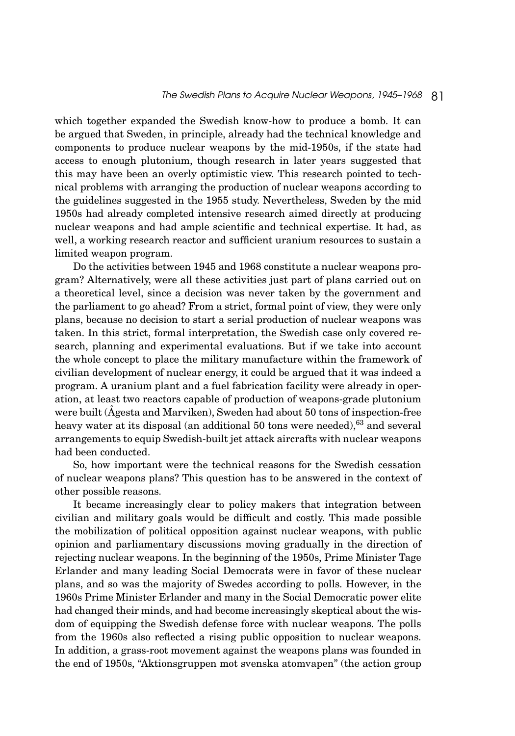which together expanded the Swedish know-how to produce a bomb. It can be argued that Sweden, in principle, already had the technical knowledge and components to produce nuclear weapons by the mid-1950s, if the state had access to enough plutonium, though research in later years suggested that this may have been an overly optimistic view. This research pointed to technical problems with arranging the production of nuclear weapons according to the guidelines suggested in the 1955 study. Nevertheless, Sweden by the mid 1950s had already completed intensive research aimed directly at producing nuclear weapons and had ample scientific and technical expertise. It had, as well, a working research reactor and sufficient uranium resources to sustain a limited weapon program.

Do the activities between 1945 and 1968 constitute a nuclear weapons program? Alternatively, were all these activities just part of plans carried out on a theoretical level, since a decision was never taken by the government and the parliament to go ahead? From a strict, formal point of view, they were only plans, because no decision to start a serial production of nuclear weapons was taken. In this strict, formal interpretation, the Swedish case only covered research, planning and experimental evaluations. But if we take into account the whole concept to place the military manufacture within the framework of civilian development of nuclear energy, it could be argued that it was indeed a program. A uranium plant and a fuel fabrication facility were already in operation, at least two reactors capable of production of weapons-grade plutonium were built (Agesta and Marviken), Sweden had about 50 tons of inspection-free heavy water at its disposal (an additional 50 tons were needed), $63$  and several arrangements to equip Swedish-built jet attack aircrafts with nuclear weapons had been conducted.

So, how important were the technical reasons for the Swedish cessation of nuclear weapons plans? This question has to be answered in the context of other possible reasons.

It became increasingly clear to policy makers that integration between civilian and military goals would be difficult and costly. This made possible the mobilization of political opposition against nuclear weapons, with public opinion and parliamentary discussions moving gradually in the direction of rejecting nuclear weapons. In the beginning of the 1950s, Prime Minister Tage Erlander and many leading Social Democrats were in favor of these nuclear plans, and so was the majority of Swedes according to polls. However, in the 1960s Prime Minister Erlander and many in the Social Democratic power elite had changed their minds, and had become increasingly skeptical about the wisdom of equipping the Swedish defense force with nuclear weapons. The polls from the 1960s also reflected a rising public opposition to nuclear weapons. In addition, a grass-root movement against the weapons plans was founded in the end of 1950s, "Aktionsgruppen mot svenska atomvapen" (the action group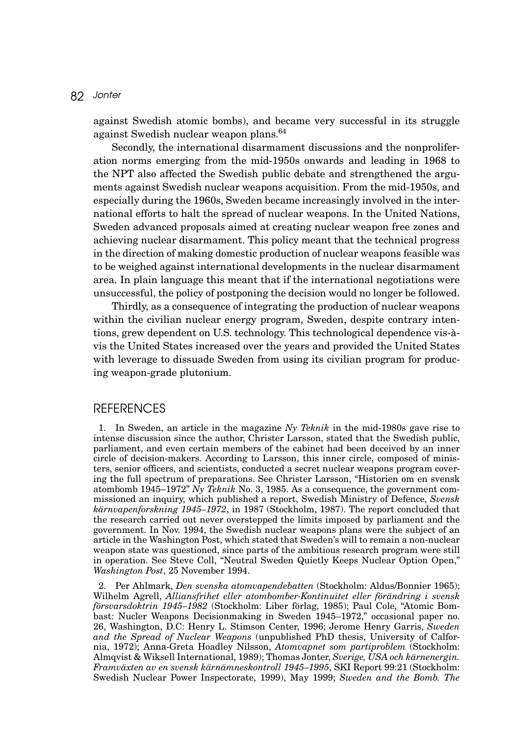against Swedish atomic bombs), and became very successful in its struggle against Swedish nuclear weapon plans.<sup>64</sup>

Secondly, the international disarmament discussions and the nonproliferation norms emerging from the mid-1950s onwards and leading in 1968 to the NPT also affected the Swedish public debate and strengthened the arguments against Swedish nuclear weapons acquisition. From the mid-1950s, and especially during the 1960s, Sweden became increasingly involved in the international efforts to halt the spread of nuclear weapons. In the United Nations, Sweden advanced proposals aimed at creating nuclear weapon free zones and achieving nuclear disarmament. This policy meant that the technical progress in the direction of making domestic production of nuclear weapons feasible was to be weighed against international developments in the nuclear disarmament area. In plain language this meant that if the international negotiations were unsuccessful, the policy of postponing the decision would no longer be followed.

Thirdly, as a consequence of integrating the production of nuclear weapons within the civilian nuclear energy program, Sweden, despite contrary intentions, grew dependent on U.S. technology. This technological dependence vis-a-` vis the United States increased over the years and provided the United States with leverage to dissuade Sweden from using its civilian program for producing weapon-grade plutonium.

#### **REFERENCES**

1. In Sweden, an article in the magazine *Ny Teknik* in the mid-1980s gave rise to intense discussion since the author, Christer Larsson, stated that the Swedish public, parliament, and even certain members of the cabinet had been deceived by an inner circle of decision-makers. According to Larsson, this inner circle, composed of ministers, senior officers, and scientists, conducted a secret nuclear weapons program covering the full spectrum of preparations. See Christer Larsson, "Historien om en svensk atombomb 1945–1972" *Ny Teknik* No. 3, 1985. As a consequence, the government commissioned an inquiry, which published a report, Swedish Ministry of Defence, *Svensk kärnvapenforskning 1945–1972*, in 1987 (Stockholm, 1987). The report concluded that the research carried out never overstepped the limits imposed by parliament and the government. In Nov. 1994, the Swedish nuclear weapons plans were the subject of an article in the Washington Post, which stated that Sweden's will to remain a non-nuclear weapon state was questioned, since parts of the ambitious research program were still in operation. See Steve Coll, "Neutral Sweden Quietly Keeps Nuclear Option Open," *Washington Post*, 25 November 1994.

2. Per Ahlmark, *Den svenska atomvapendebatten* (Stockholm: Aldus/Bonnier 1965); Wilhelm Agrell, *Alliansfrihet eller atombomber-Kontinuitet eller förändring i svensk försvarsdoktrin 1945–1982* (Stockholm: Liber förlag, 1985); Paul Cole, "Atomic Bombast: Nucler Weapons Decisionmaking in Sweden 1945–1972," occasional paper no. 26, Washington, D.C: Henry L. Stimson Center, 1996; Jerome Henry Garris, *Sweden and the Spread of Nuclear Weapons* (unpublished PhD thesis, University of Calfornia, 1972); Anna-Greta Hoadley Nilsson, *Atomvapnet som partiproblem* (Stockholm: Almqvist & Wiksell International, 1989); Thomas Jonter, *Sverige, USA och kärnenergin*. *Framväxten av en svensk kärnämneskontroll 1945–1995*, SKI Report 99:21 (Stockholm: Swedish Nuclear Power Inspectorate, 1999), May 1999; *Sweden and the Bomb. The*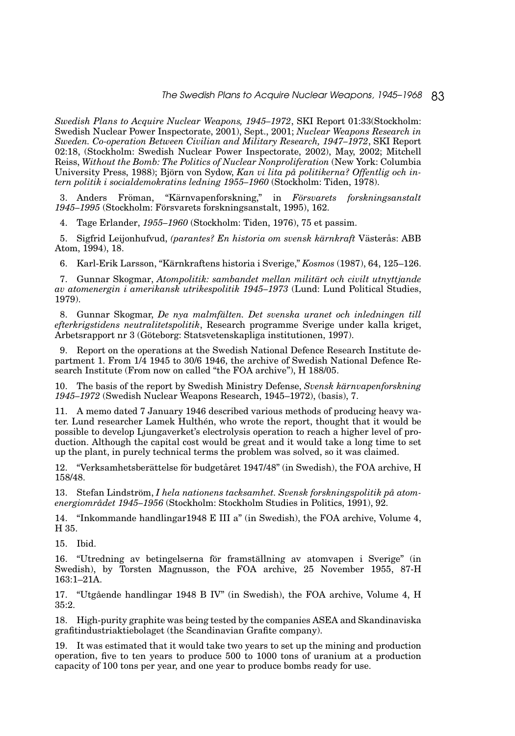*Swedish Plans to Acquire Nuclear Weapons, 1945–1972*, SKI Report 01:33(Stockholm: Swedish Nuclear Power Inspectorate, 2001), Sept., 2001; *Nuclear Weapons Research in Sweden. Co-operation Between Civilian and Military Research, 1947–1972*, SKI Report 02:18, (Stockholm: Swedish Nuclear Power Inspectorate, 2002), May, 2002; Mitchell Reiss, *Without the Bomb: The Politics of Nuclear Nonproliferation* (New York: Columbia University Press, 1988); Björn von Sydow, Kan vi lita på politikerna? Offentlig och in*tern politik i socialdemokratins ledning 1955–1960* (Stockholm: Tiden, 1978).

3. Anders Fröman, "Kärnvapenforskning," in Försvarets forskningsanstalt 1945–1995 (Stockholm: Försvarets forskningsanstalt, 1995), 162.

4. Tage Erlander, *1955–1960* (Stockholm: Tiden, 1976), 75 et passim.

5. Sigfrid Leijonhufvud, *(parantes? En historia om svensk kärnkraft* Västerås: ABB Atom, 1994), 18.

6. Karl-Erik Larsson, "Kärnkraftens historia i Sverige," *Kosmos* (1987), 64, 125–126.

7. Gunnar Skogmar, *Atompolitik: sambandet mellan militärt och civilt utnyttjande av atomenergin i amerikansk utrikespolitik 1945–1973* (Lund: Lund Political Studies, 1979).

8. Gunnar Skogmar, *De nya malmfälten. Det svenska uranet och inledningen till efterkrigstidens neutralitetspolitik*, Research programme Sverige under kalla kriget, Arbetsrapport nr 3 (Göteborg: Statsvetenskapliga institutionen, 1997).

9. Report on the operations at the Swedish National Defence Research Institute department 1. From 1/4 1945 to 30/6 1946, the archive of Swedish National Defence Research Institute (From now on called "the FOA archive"), H 188/05.

10. The basis of the report by Swedish Ministry Defense, *Svensk kärnvapenforskning 1945–1972* (Swedish Nuclear Weapons Research, 1945–1972), (basis), 7.

11. A memo dated 7 January 1946 described various methods of producing heavy water. Lund researcher Lamek Hulthén, who wrote the report, thought that it would be possible to develop Ljungaverket's electrolysis operation to reach a higher level of production. Although the capital cost would be great and it would take a long time to set up the plant, in purely technical terms the problem was solved, so it was claimed.

12. "Verksamhetsberättelse för budgetåret 1947/48" (in Swedish), the FOA archive, H 158/48.

13. Stefan Lindström, *I hela nationens tacksamhet. Svensk forskningspolitik på atomenergiomr˚adet 1945–1956* (Stockholm: Stockholm Studies in Politics, 1991), 92.

14. "Inkommande handlingar1948 E III a" (in Swedish), the FOA archive, Volume 4, H 35.

15. Ibid.

16. "Utredning av betingelserna för framställning av atomvapen i Sverige" (in Swedish), by Torsten Magnusson, the FOA archive, 25 November 1955, 87-H 163:1–21A.

17. "Utgående handlingar 1948 B IV" (in Swedish), the FOA archive, Volume 4, H 35:2.

18. High-purity graphite was being tested by the companies ASEA and Skandinaviska grafitindustriaktiebolaget (the Scandinavian Grafite company).

19. It was estimated that it would take two years to set up the mining and production operation, five to ten years to produce 500 to 1000 tons of uranium at a production capacity of 100 tons per year, and one year to produce bombs ready for use.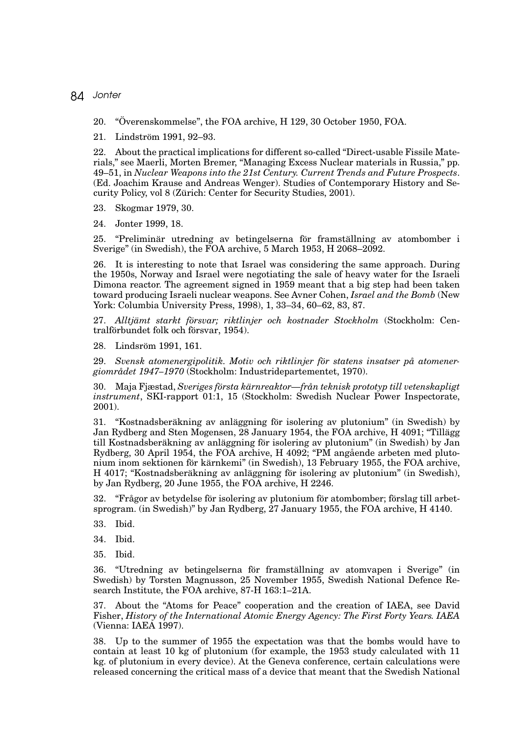20. "Overenskommelse", the FOA archive, H 129, 30 October 1950, FOA. ¨

21. Lindström 1991, 92-93.

22. About the practical implications for different so-called "Direct-usable Fissile Materials," see Maerli, Morten Bremer, "Managing Excess Nuclear materials in Russia," pp. 49–51, in *Nuclear Weapons into the 21st Century. Current Trends and Future Prospects*. (Ed. Joachim Krause and Andreas Wenger). Studies of Contemporary History and Security Policy, vol 8 (Zürich: Center for Security Studies, 2001).

23. Skogmar 1979, 30.

24. Jonter 1999, 18.

25. "Preliminar utredning av betingelserna för framställning av atombomber i Sverige" (in Swedish), the FOA archive, 5 March 1953, H 2068–2092.

26. It is interesting to note that Israel was considering the same approach. During the 1950s, Norway and Israel were negotiating the sale of heavy water for the Israeli Dimona reactor. The agreement signed in 1959 meant that a big step had been taken toward producing Israeli nuclear weapons. See Avner Cohen, *Israel and the Bomb* (New York: Columbia University Press, 1998), 1, 33–34, 60–62, 83, 87.

27. Alltjämt starkt försvar; riktlinjer och kostnader Stockholm (Stockholm: Centralförbundet folk och försvar, 1954).

28. Lindsröm 1991, 161.

29. Svensk atomenergipolitik. Motiv och riktlinjer för statens insatser på atomener*giomr˚adet 1947–1970* (Stockholm: Industridepartementet, 1970).

30. Maja Fjæstad, *Sveriges första kärnreaktor—från teknisk prototyp till vetenskapligt instrument*, SKI-rapport 01:1, 15 (Stockholm: Swedish Nuclear Power Inspectorate, 2001).

31. "Kostnadsberäkning av anläggning för isolering av plutonium" (in Swedish) by Jan Rydberg and Sten Mogensen, 28 January 1954, the FOA archive, H 4091; "Tillägg till Kostnadsberäkning av anläggning för isolering av plutonium" (in Swedish) by Jan Rydberg, 30 April 1954, the FOA archive, H  $4092$ ; "PM angående arbeten med plutonium inom sektionen för kärnkemi" (in Swedish), 13 February 1955, the FOA archive, H 4017; "Kostnadsberäkning av anläggning för isolering av plutonium" (in Swedish), by Jan Rydberg, 20 June 1955, the FOA archive, H 2246.

32. "Frågor av betydelse för isolering av plutonium för atombomber; förslag till arbetsprogram. (in Swedish)" by Jan Rydberg, 27 January 1955, the FOA archive, H 4140.

33. Ibid.

34. Ibid.

35. Ibid.

36. "Utredning av betingelserna för framställning av atomvapen i Sverige" (in Swedish) by Torsten Magnusson, 25 November 1955, Swedish National Defence Research Institute, the FOA archive, 87-H 163:1–21A.

37. About the "Atoms for Peace" cooperation and the creation of IAEA, see David Fisher, *History of the International Atomic Energy Agency: The First Forty Years. IAEA* (Vienna: IAEA 1997).

38. Up to the summer of 1955 the expectation was that the bombs would have to contain at least 10 kg of plutonium (for example, the 1953 study calculated with 11 kg. of plutonium in every device). At the Geneva conference, certain calculations were released concerning the critical mass of a device that meant that the Swedish National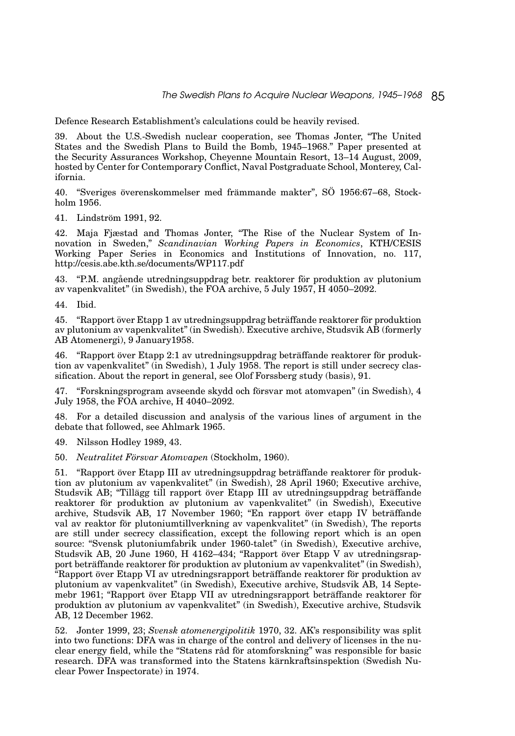Defence Research Establishment's calculations could be heavily revised.

39. About the U.S.-Swedish nuclear cooperation, see Thomas Jonter, "The United States and the Swedish Plans to Build the Bomb, 1945–1968." Paper presented at the Security Assurances Workshop, Cheyenne Mountain Resort, 13–14 August, 2009, hosted by Center for Contemporary Conflict, Naval Postgraduate School, Monterey, California.

40. "Sveriges överenskommelser med främmande makter", SÖ 1956:67–68, Stockholm 1956.

41. Lindström 1991, 92.

42. Maja Fjæstad and Thomas Jonter, "The Rise of the Nuclear System of Innovation in Sweden," *Scandinavian Working Papers in Economics*, KTH/CESIS Working Paper Series in Economics and Institutions of Innovation, no. 117, http://cesis.abe.kth.se/documents/WP117.pdf

43. "P.M. angående utredningsuppdrag betr. reaktorer för produktion av plutonium av vapenkvalitet" (in Swedish), the FOA archive, 5 July 1957, H 4050–2092.

44. Ibid.

45. "Rapport över Etapp 1 av utredningsuppdrag beträffande reaktorer för produktion av plutonium av vapenkvalitet" (in Swedish). Executive archive, Studsvik AB (formerly AB Atomenergi), 9 January1958.

46. "Rapport över Etapp 2:1 av utredningsuppdrag beträffande reaktorer för produktion av vapenkvalitet" (in Swedish), 1 July 1958. The report is still under secrecy classification. About the report in general, see Olof Forssberg study (basis), 91.

47. "Forskningsprogram avseende skydd och forsvar mot atomvapen" (in Swedish), 4 ¨ July 1958, the FOA archive, H 4040–2092.

48. For a detailed discussion and analysis of the various lines of argument in the debate that followed, see Ahlmark 1965.

49. Nilsson Hodley 1989, 43.

50. Neutralitet Försvar Atomvapen (Stockholm, 1960).

51. "Rapport över Etapp III av utredningsuppdrag beträffande reaktorer för produktion av plutonium av vapenkvalitet" (in Swedish), 28 April 1960; Executive archive, Studsvik AB; "Tillägg till rapport över Etapp III av utredningsuppdrag beträffande reaktorer för produktion av plutonium av vapenkvalitet" (in Swedish), Executive archive, Studsvik AB, 17 November 1960; "En rapport över etapp IV beträffande val av reaktor för plutoniumtillverkning av vapenkvalitet" (in Swedish), The reports are still under secrecy classification, except the following report which is an open source: "Svensk plutoniumfabrik under 1960-talet" (in Swedish), Executive archive, Studsvik AB, 20 June 1960, H 4162–434; "Rapport over Etapp V av utredningsrap- ¨ port beträffande reaktorer för produktion av plutonium av vapenkvalitet" (in Swedish), "Rapport över Etapp VI av utredningsrapport beträffande reaktorer för produktion av plutonium av vapenkvalitet" (in Swedish), Executive archive, Studsvik AB, 14 Septemebr 1961; "Rapport över Etapp VII av utredningsrapport beträffande reaktorer för produktion av plutonium av vapenkvalitet" (in Swedish), Executive archive, Studsvik AB, 12 December 1962.

52. Jonter 1999, 23; *Svensk atomenergipolitik* 1970, 32. AK's responsibility was split into two functions: DFA was in charge of the control and delivery of licenses in the nuclear energy field, while the "Statens råd för atomforskning" was responsible for basic research. DFA was transformed into the Statens kärnkraftsinspektion (Swedish Nuclear Power Inspectorate) in 1974.